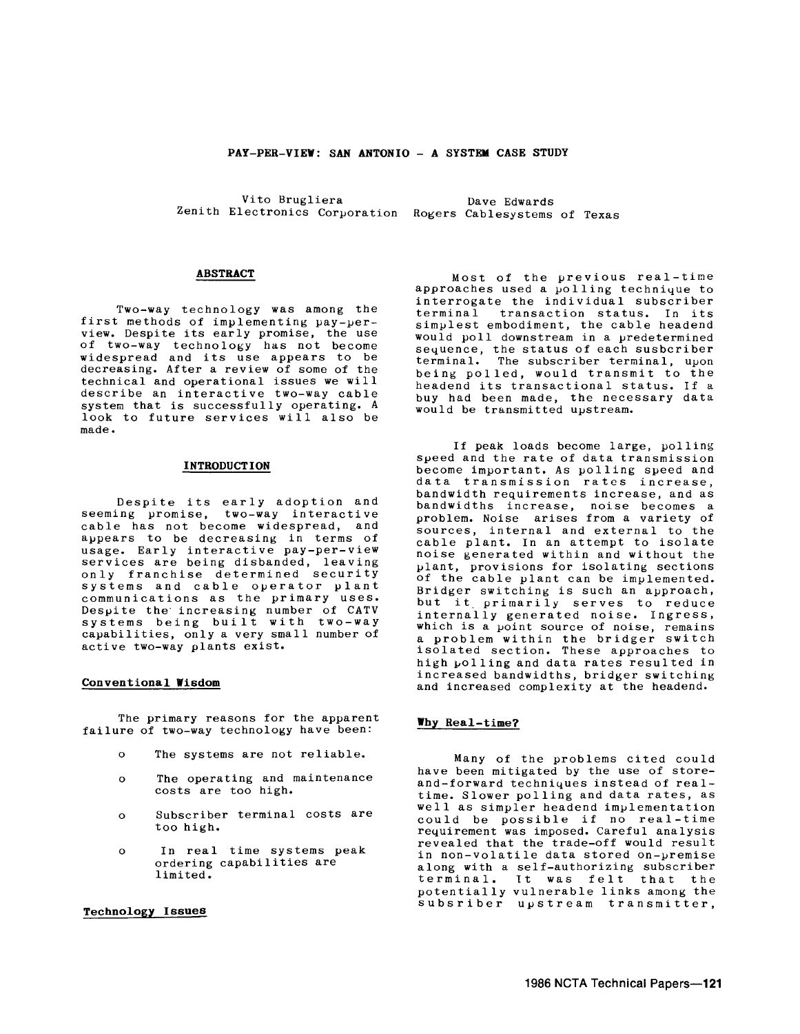#### **PAY-PER-VIEW: SAN ANTONIO - A SYSTEM CASE STUDY**

Vito Brugliera Zenith Electronics Corporation Rogers Cablesystems of Texas Dave Edwards

## **ABSTRACT**

Two-way technology was among the first methods of implementing pay-perview. Despite its early promise, the use of two-way techno logy has not become widespread and its use appears to be decreasing. After a review of some of the technical and operational issues we will describe an interactive two-way cable system that is successfully operating. A look to future services will also be made.

#### **INTRODUCTION**

Despite its early adoption and seeming promise, two-way interactive cable has not become widespread, and appears to be decreasing in terms of usage. Early interactive pay-per-view services are being disbanded, leaving only franchise determined security only franchise determined security communications as the primary uses. Despite the increasing number of CATV systems being built with two-way capabilities, only a very small number of active two-way plants exist.

#### **Conventional Wisdom**

The primary reasons for the apparent failure of two-way technology have been:

- $\mathbf{o}$ The systems are not reliable.
- $\Omega$ The operating and maintenance costs are too high.
- $\Omega$ Subscriber terminal costs are too high.
- $\circ$ In real time systems peak ordering capabilities are limited.

# **Technology Issues**

Most of the previous real-time approaches used a polling technique to interrogate the individual subscriber transaction status. In its simplest embodiment, the cable headend would poll downstream in a predetermined sequence, the status of each susbcriber<br>terminal. The subscriber terminal, upon The subscriber terminal, upon being polled, would transmit to the<br>headend its transactional status. If a buy had been made, the necessary data would be transmitted upstream.

If peak loads become large, polling speed and the rate of data transmission become important. As polling speed and data transmission rates increase,<br>bandwidth requirements increase, and as bandwidth requirements increase, and as bandwidths increase, noise becomes a problem. Noise arises from a variety of sources, internal and external to the cable plant. In an attempt to isolate noise generated within and without the plant, provisions for isolating sections of the cable plant can be implemented. Bridger switching is such an approach,<br>but it primarily serves to reduce but it primarily serves to reduce<br>internally generated noise. Ingress, which is a point source of noise, remains a problem within the bridger switch isolated section. These approaches to high yolling and data rates resulted in increased bandwidths, bridger switching and increased complexity at the headend.

### **Why Real-time?**

Many of the problems cited could have been mitigated by the use of storeand-forward techniques instead of realtime. Slower polling and data rates, as well as simpler headend implementation could be possible if no real-time re4uirement was imposed. Careful analysis revealed that the trade-off would result in non-volatile data stored on-premise along with a self-authorizing subscriber terminal. 1t was felt that the potentially vulnerable links among the subsriber upstream transmitter,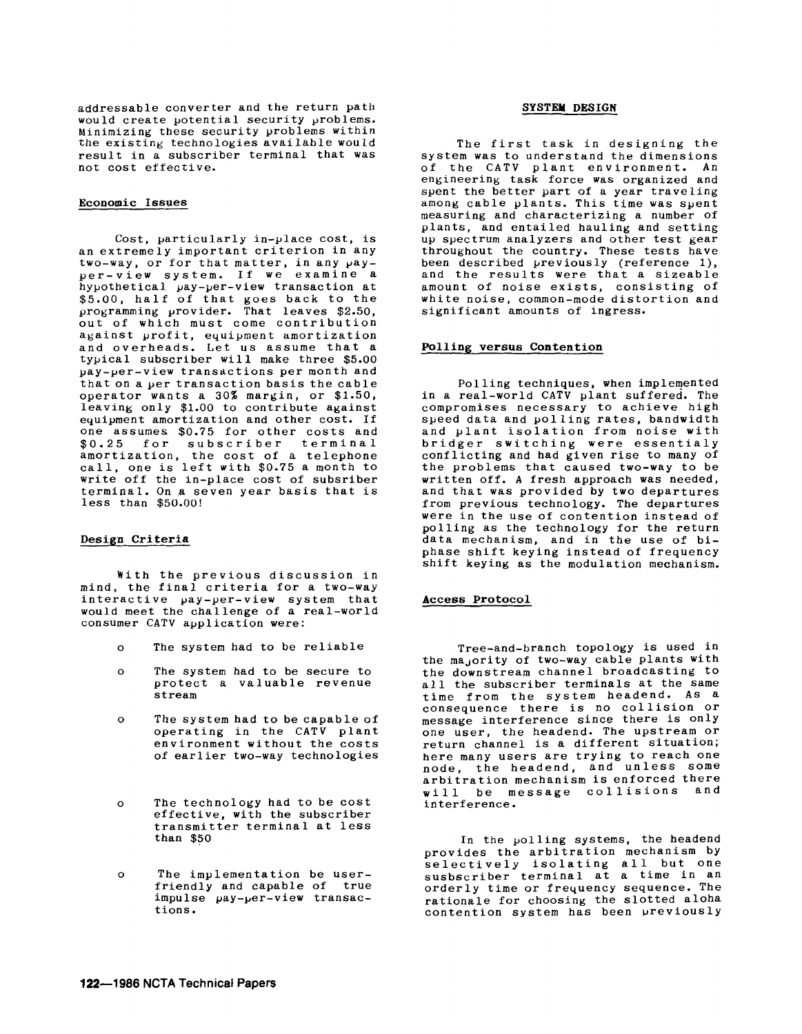addressable converter and the return path would create potential security problems. Minimizing these security problems within the existing technologies available would result in a subscriber terminal that was not cost effective.

## Economic Issues

Cost, particularly in-place cost, is an extremely important criterion in any two-way, or for that matter, in any  $\mu$ ayper-view system. If we examine a hypothetical pay-per-view transaction at \$5.00, half of that goes back to the programming provider. That leaves \$2.50, out of which must come contribution against profit, equipment amortization and overheads. Let us assume that a typical subscriber will make three \$5.00 pay-per-view transactions per month and that on a per transaction basis the cable operator wants a 30% margin, or \$1.50, leaving only \$1.00 to contribute against equipment amortization and other cost. If one assumes \$0.75 for other costs and \$0.25 for subscriber terminal amortization, the cost of a telephone call, one is left with \$0.75 a month to write off the in-place cost of subsriber terminal. On a seven year basis that is less than \$50.00!

#### Design Criteria

With the previous discussion in mind, the final criteria for a two-way interactive pay-per-view system that would meet the challenge of a real-world consumer CATV application were:

- $\mathbf{o}$ The system had to be reliable
- 0 The system had to be secure to protect a valuable revenue stream
- $\mathbf{o}$ The system had to be capable of operating in the CATV plant environment without the costs of earlier two-way technologies
- $\Omega$ The technology had to be cost effective, with the subscriber transmitter terminal at less than \$50
- $\Omega$ The implementation be user- friendly and capable of true impulse pay-per-view transactions.

### SYSTEM DESIGN

The first task in designing the system was to understand the dimensions of the CATV plant environment. An engineering task force was organized and spent the better part of a year traveling among cable plants. This time was spent measuring and characterizing a number of plants, and entailed hauling and setting up spectrum analyzers and other test gear throughout the country. These tests have been described previously (reference 1), and the results were that a sizeable amount of noise exists, consisting of white noise, common-mode distortion and significant amounts of ingress.

#### Polling versus Contention

Polling techniques, when implemented in a real-world CATV plant suffered. The compromises necessary to achieve high speed data and polling rates, bandwidth and plant isolation from noise with bridger switching were essentialy conflicting and had given rise to many of the problems that caused two-way to be written off. A fresh approach was needed, and that was provided by two departures from previous technology. The departures were in the use of contention instead of polling as the technology for the return data mechanism, and in the use of hiphase shift keying instead of frequency shift keying as the modulation mechanism.

### Access Protocol

Tree-and-branch topology is used in the ma<sub>J</sub>ority of two-way cable plants with the downstream channel broadcasting to<br>all the subscriber terminals at the same time from the system headend. As a<br>consequence there is no collision or<br>message interference since there is only<br>one user, the headend. The upstream or<br>return channel is a different situation; here many users are trying to reach one<br>node, the headend, and unless some arbitration mechanism is enforced there will be message collisions and interference.

In the polling systems, the headend provides the arbitration mechanism by selectively isolating all but one susbscriber terminal at a time in an orderly time or frequency sequence. The rationale for choosing the slotted aloha contention system has been previously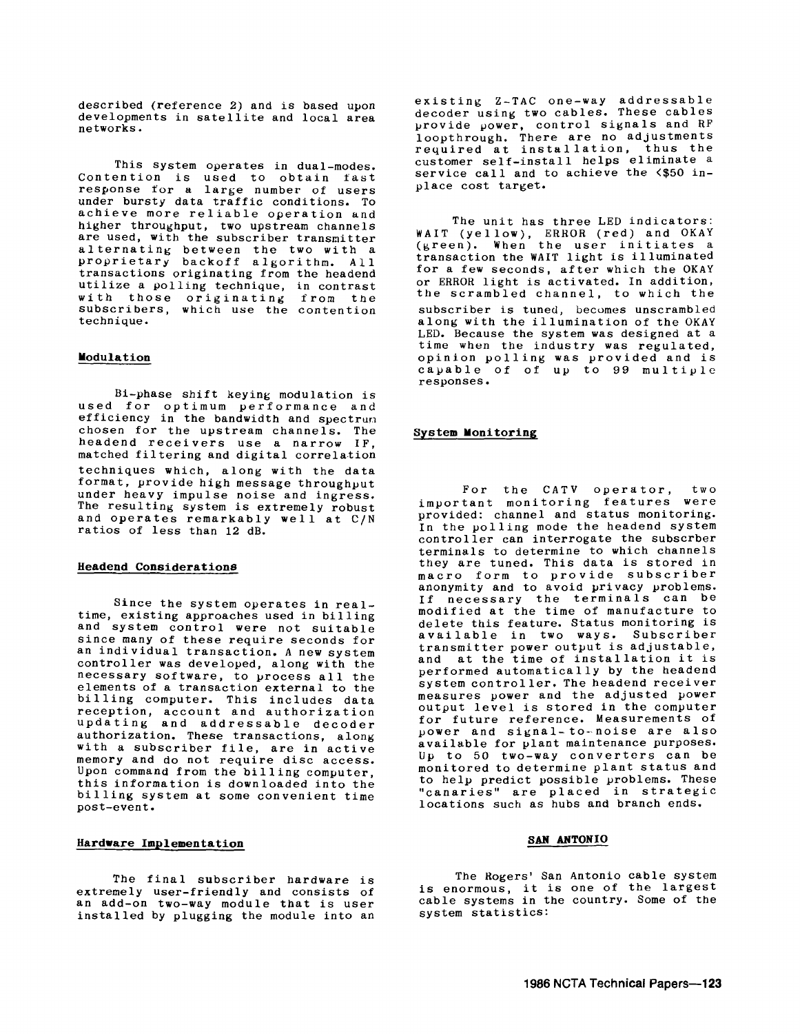described (reference 2) and is based upon developments in satellite and local area networks.

This system operates in dual-modes. Contention is used to obtain fast<br>response for a large number of users under bursty data traffic conditions. To achieve more reliable operation and higher throughput, two upstream channels are used, with the subscriber transmitter alternating between the two with a proprietary backoff algorithm. All transactions originating from the headend utilize a polling technique, in contrast with those originating from the subscribers, which use the contention technique.

#### **Modulation**

Bi-phase shift keying modulation is used for optimum performance and efficiency in the bandwidth and spectrun chosen for the upstream channels. The headend receivers use a narrow IF matched filtering and digital correlation techniques which, along with the data format, provide high message throughout under heavy impulse noise and ingress. The resulting system is extremely robust and operates remarkably well at C/N ratios of less than 12 dB.

### **Headend Considerations**

Since the system operates in realtime, existing approaches used in billing and system control were not suitable<br>since many of these require seconds for an individual transaction. A new system controller was developed, along with the necessary software, to process all the elements of a transaction external to the billing computer. This includes data reception, account and authorization updating and addressable decoder authorization. These transactions, along with a subscriber file, are in active memory and do not require disc access.<br>Upon command from the billing computer. this information is downloaded into the<br>billing system at some convenient time post-event.

#### **Hardware Implementation**

The final subscriber hardware is<br>extremely user-friendly and consists of an add-on two-way module that is user installed by plugging the module into an

existing Z-TAC one-way addressable decoder using two cables. These cables provide power, control signals and RF loopthrough. There are no adjustments required at installation, thus the customer self-install helps eliminate a service call and to achieve the <\$50 inplace cost target.

The unit has three LED indicators: WAIT (yellow), ERROR (red) and OKAY (green). When the user initiates a transaction the WAIT light is illuminated transaction the WAIT light is illuminated<br>for a few seconds, after which the OKAY or ERROR light is activated. In addition, the scrambled channel, to which the subscriber is tuned, becomes unscrambled along with the illumination of the OKAY<br>LED. Because the system was designed at a time when the industry was regulated, opinion polling was provided and is capable of of up to 99 multiple responses.

## **System Monitoring**

For the CATV operator, two important monitoring features were provided: channel and status monitoring. In the polling mode the headend system controller can interrogate the subscrber terminals to determine to which channels they are tuned. This data is stored in macro form to provide subscriber anonymity and to avoid privacy problems. If necessary the terminals can be modified at the time of manufacture to delete this feature. Status monitoring is available in two ways. Subscriber transmitter power output is adjustable, and at the time of installation it is performed automatically by the headend system controller. The headend receiver measures power and the adjusted power output level is stored in the computer for future reference. Measurements of power and signal-to-noise are also available for plant maintenance purposes. Up to 50 two-way converters can be monitored to determine plant status and to help predict possible vroblems. These "canaries" are placed in strategic locations such as hubs and branch ends.

### **SAN ANTONIO**

The Rogers' San Antonio cable system The Rogers' san Antonio cable system<br>is enormous, it is one of the largest cable systems in the country. Some of the system statistics: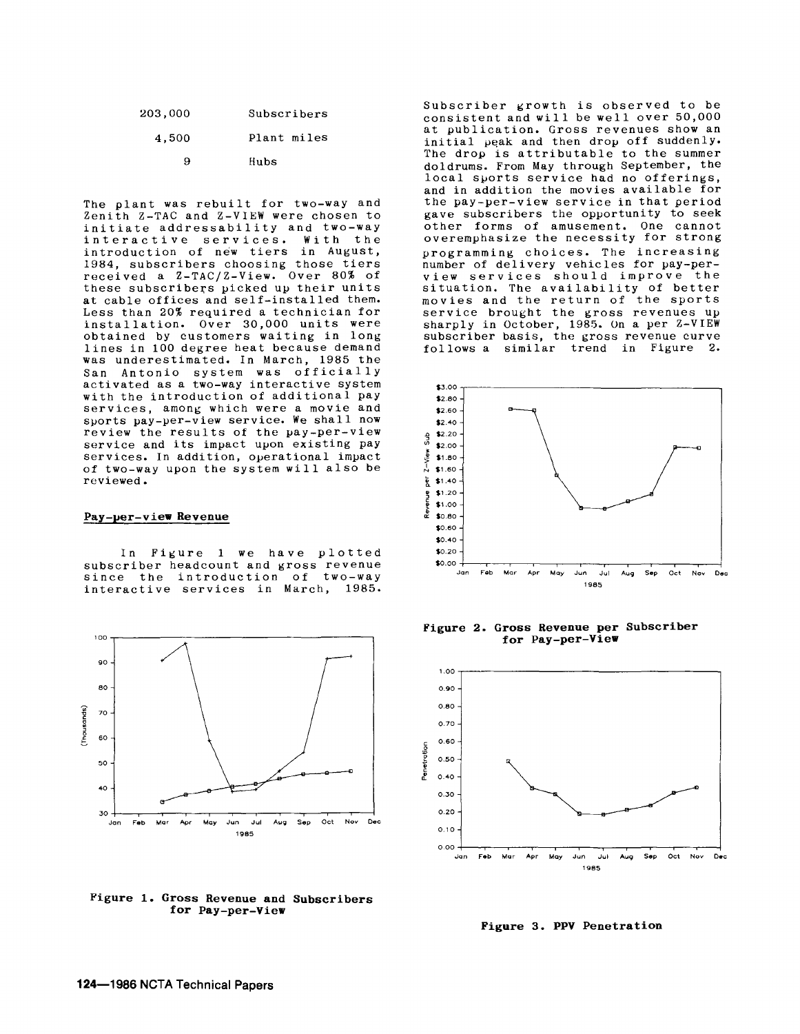| 203,000 | Subscribers |
|---------|-------------|
| 4,500   | Plant miles |
| я       | Hubs        |

The plant was rebuilt for two-way and Zenith Z-TAC and Z-VIEW were chosen to initiate addressability and two-way interactive services. With the introduction of new tiers in August, 1984, subscribers choosing those tiers received a Z-TAC/Z-View. Over 80% of these subscribers picked up their units at cable offices and self-installed them. Less than 20% required a technician for obtained by customers waiting in long lines in 100 degree heat because demand was underestimated. In March, 1985 the San Antonio system was officially activated as a two-way interactive system with the introduction of additional pay services, among which were a movie and sports pay-per-view service. We shall now review the results of the pay-per-view service and its impact upon existing pay services. In addition, operational impact of two-way upon the system will also be reviewed.

#### **Pay-per-view Revenue**

In Figure 1 we have plotted<br>subscriber headcount and gross revenue since the introduction of two-way interactive services in March, 1985.



**Figure 1. Gross Revenue and Subscribers for Pay-per-View** 

Subscriber growth is observed to be consistent and will be well over 50,000<br>at publication. Gross revenues show an initial peak and then drop off suddenly. The drop is attributable to the summer doldrums. From May through September, the local sports service had no offerings, and in addition the movies available for the pay-per-view service in that period gave subscribers the opportunity to seek other forms of amusement. One cannot overemphasize the necessity for strong programming choices. The increasing number of delivery vehicles for pay-perview services should improve the situation. The availability of better movies and the return of the sports service brought the gross revenues up sharply in October, 1985. On a per Z-VIEW subscriber basis, the gross revenue curve follows a similar trend in Figure 2.



**Figure 2. Gross Revenue per Subscriber for Pay-per-View** 



**Figure 3. PPV Penetration**